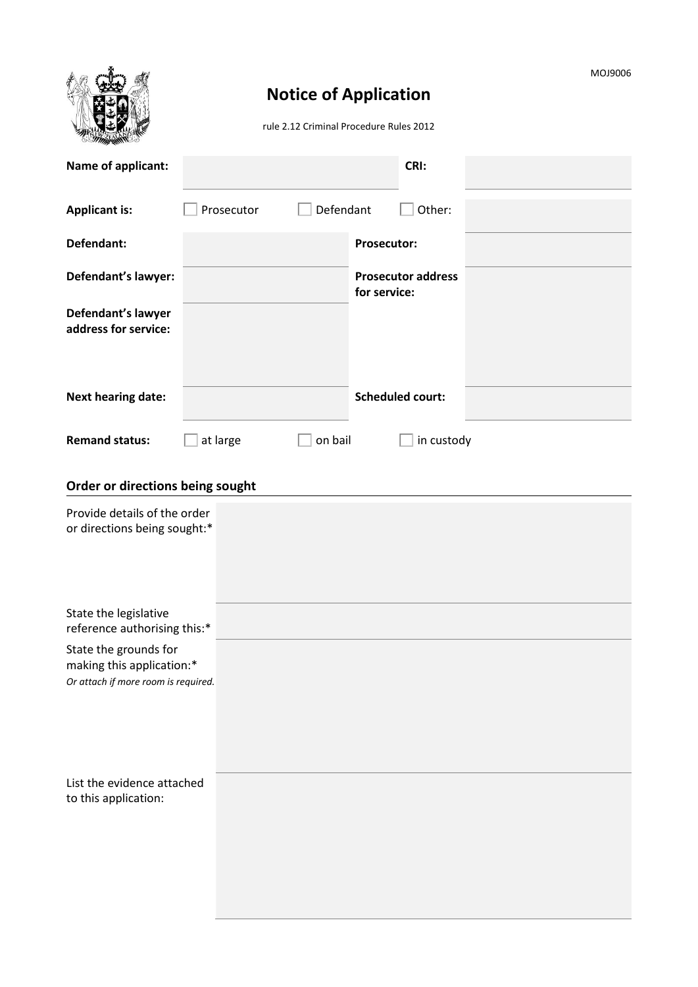|                                                                                           | MOJ9006<br><b>Notice of Application</b><br>rule 2.12 Criminal Procedure Rules 2012 |                                           |  |  |  |  |
|-------------------------------------------------------------------------------------------|------------------------------------------------------------------------------------|-------------------------------------------|--|--|--|--|
| Name of applicant:                                                                        |                                                                                    | CRI:                                      |  |  |  |  |
| <b>Applicant is:</b>                                                                      | Defendant<br>Prosecutor                                                            | Other:                                    |  |  |  |  |
| Defendant:                                                                                |                                                                                    | <b>Prosecutor:</b>                        |  |  |  |  |
| Defendant's lawyer:                                                                       |                                                                                    | <b>Prosecutor address</b><br>for service: |  |  |  |  |
| Defendant's lawyer<br>address for service:                                                |                                                                                    |                                           |  |  |  |  |
| <b>Next hearing date:</b>                                                                 |                                                                                    | <b>Scheduled court:</b>                   |  |  |  |  |
| <b>Remand status:</b>                                                                     | on bail<br>at large                                                                | in custody                                |  |  |  |  |
| Order or directions being sought                                                          |                                                                                    |                                           |  |  |  |  |
| Provide details of the order<br>or directions being sought:*                              |                                                                                    |                                           |  |  |  |  |
| State the legislative<br>reference authorising this:*                                     |                                                                                    |                                           |  |  |  |  |
| State the grounds for<br>making this application:*<br>Or attach if more room is required. |                                                                                    |                                           |  |  |  |  |
| List the evidence attached<br>to this application:                                        |                                                                                    |                                           |  |  |  |  |